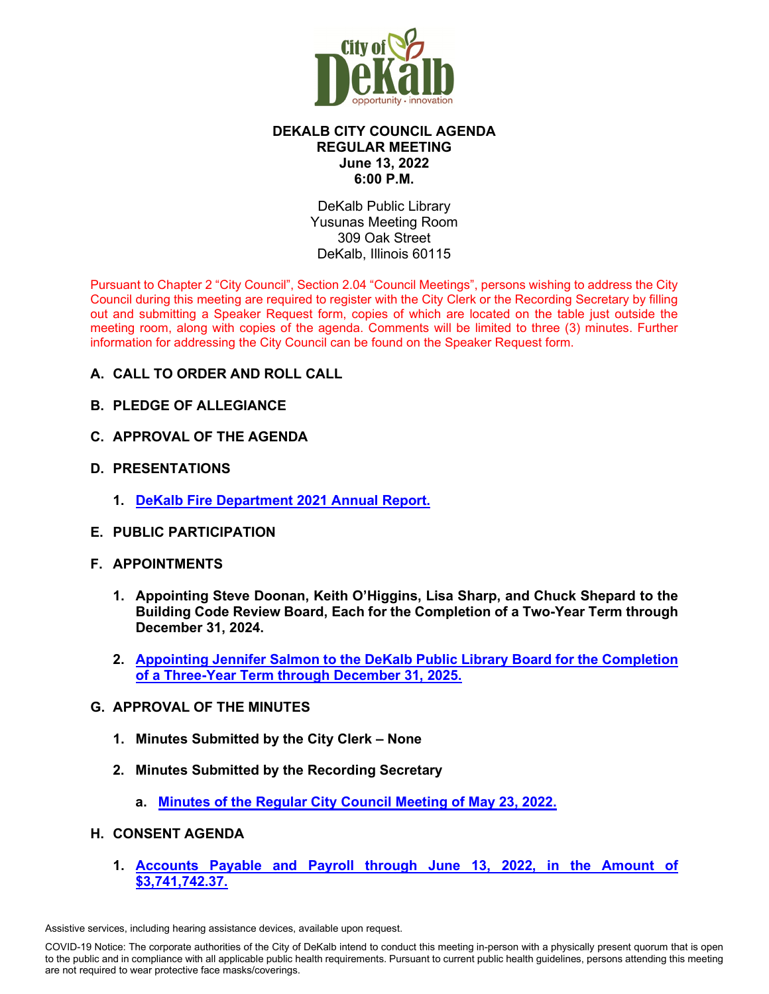

# **DEKALB CITY COUNCIL AGENDA REGULAR MEETING June 13, 2022 6:00 P.M.**

DeKalb Public Library Yusunas Meeting Room 309 Oak Street DeKalb, Illinois 60115

Pursuant to Chapter 2 "City Council", Section 2.04 "Council Meetings", persons wishing to address the City Council during this meeting are required to register with the City Clerk or the Recording Secretary by filling out and submitting a Speaker Request form, copies of which are located on the table just outside the meeting room, along with copies of the agenda. Comments will be limited to three (3) minutes. Further information for addressing the City Council can be found on the Speaker Request form.

- **A. CALL TO ORDER AND ROLL CALL**
- **B. PLEDGE OF ALLEGIANCE**
- **C. APPROVAL OF THE AGENDA**
- **D. PRESENTATIONS**
	- **1. [DeKalb Fire Department 2021 Annual Report.](https://www.cityofdekalb.com/DocumentCenter/View/13942/2-DeKalb-Fire-Department-2021-Annual-Rpt)**
- **E. PUBLIC PARTICIPATION**
- **F. APPOINTMENTS**
	- **1. Appointing Steve Doonan, Keith O'Higgins, Lisa Sharp, and Chuck Shepard to the Building Code Review Board, Each for the Completion of a Two-Year Term through December 31, 2024.**
	- **2. [Appointing Jennifer Salmon to the DeKalb Public Library Board for the Completion](https://www.cityofdekalb.com/DocumentCenter/View/13943/3-Salmon-Jennifer---DPLB-Appt-061322)  [of a Three-Year Term through December 31, 2025.](https://www.cityofdekalb.com/DocumentCenter/View/13943/3-Salmon-Jennifer---DPLB-Appt-061322)**
- **G. APPROVAL OF THE MINUTES**
	- **1. Minutes Submitted by the City Clerk None**
	- **2. Minutes Submitted by the Recording Secretary**
		- **a. [Minutes of the Regular City Council Meeting of May 23, 2022.](https://www.cityofdekalb.com/DocumentCenter/View/13944/4-052322-Regular-Minutes)**
- **H. CONSENT AGENDA**
	- **1. [Accounts Payable and Payroll through June 13, 2022, in the Amount of](https://www.cityofdekalb.com/DocumentCenter/View/13945/5-APP-061322)  [\\$3,741,742.37.](https://www.cityofdekalb.com/DocumentCenter/View/13945/5-APP-061322)**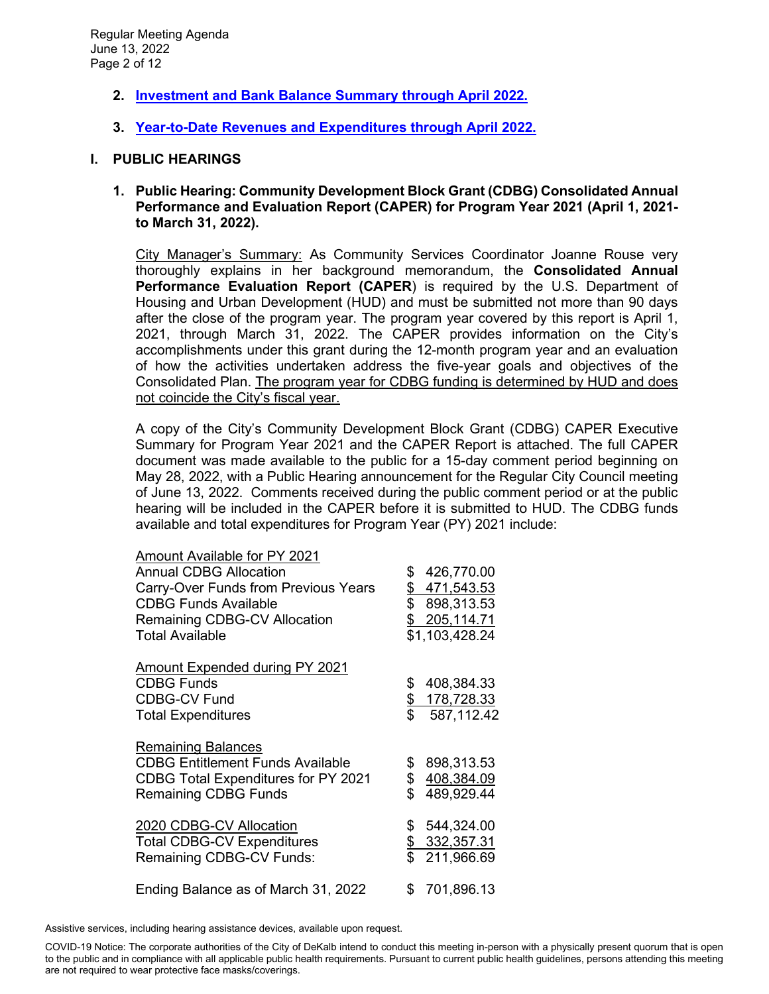- **2. [Investment and Bank Balance Summary through April 2022.](https://www.cityofdekalb.com/DocumentCenter/View/13946/6-IBB-April-2022)**
- **3. [Year-to-Date Revenues and Expenditures through April 2022.](https://www.cityofdekalb.com/DocumentCenter/View/13947/7-YTD-Rev-Exp-April-2022)**

### **I. PUBLIC HEARINGS**

**1. Public Hearing: Community Development Block Grant (CDBG) Consolidated Annual Performance and Evaluation Report (CAPER) for Program Year 2021 (April 1, 2021 to March 31, 2022).**

City Manager's Summary: As Community Services Coordinator Joanne Rouse very thoroughly explains in her background memorandum, the **Consolidated Annual Performance Evaluation Report (CAPER**) is required by the U.S. Department of Housing and Urban Development (HUD) and must be submitted not more than 90 days after the close of the program year. The program year covered by this report is April 1, 2021, through March 31, 2022. The CAPER provides information on the City's accomplishments under this grant during the 12-month program year and an evaluation of how the activities undertaken address the five-year goals and objectives of the Consolidated Plan. The program year for CDBG funding is determined by HUD and does not coincide the City's fiscal year.

A copy of the City's Community Development Block Grant (CDBG) CAPER Executive Summary for Program Year 2021 and the CAPER Report is attached. The full CAPER document was made available to the public for a 15-day comment period beginning on May 28, 2022, with a Public Hearing announcement for the Regular City Council meeting of June 13, 2022. Comments received during the public comment period or at the public hearing will be included in the CAPER before it is submitted to HUD. The CDBG funds available and total expenditures for Program Year (PY) 2021 include:

| Amount Available for PY 2021<br><b>Annual CDBG Allocation</b><br>Carry-Over Funds from Previous Years<br><b>CDBG Funds Available</b><br>Remaining CDBG-CV Allocation<br><b>Total Available</b> | \$<br>\$            | 426,770.00<br>\$471,543.53<br>898,313.53<br>\$205,114.71<br>\$1,103,428.24 |
|------------------------------------------------------------------------------------------------------------------------------------------------------------------------------------------------|---------------------|----------------------------------------------------------------------------|
| <b>Amount Expended during PY 2021</b><br><b>CDBG Funds</b><br><b>CDBG-CV Fund</b><br><b>Total Expenditures</b>                                                                                 | \$<br><u>\$</u>     | 408,384.33<br>178,728.33<br>587,112.42                                     |
| <b>Remaining Balances</b><br><b>CDBG Entitlement Funds Available</b><br>CDBG Total Expenditures for PY 2021<br><b>Remaining CDBG Funds</b>                                                     | \$<br>\$<br>\$.     | 898,313.53<br>408,384.09<br>489,929.44                                     |
| 2020 CDBG-CV Allocation<br><b>Total CDBG-CV Expenditures</b><br>Remaining CDBG-CV Funds:                                                                                                       | $\frac{2}{2}$<br>\$ | 544,324.00<br>332, 357. 31<br>211,966.69                                   |
| Ending Balance as of March 31, 2022                                                                                                                                                            | S.                  | 701,896.13                                                                 |

Assistive services, including hearing assistance devices, available upon request.

COVID-19 Notice: The corporate authorities of the City of DeKalb intend to conduct this meeting in-person with a physically present quorum that is open to the public and in compliance with all applicable public health requirements. Pursuant to current public health guidelines, persons attending this meeting are not required to wear protective face masks/coverings.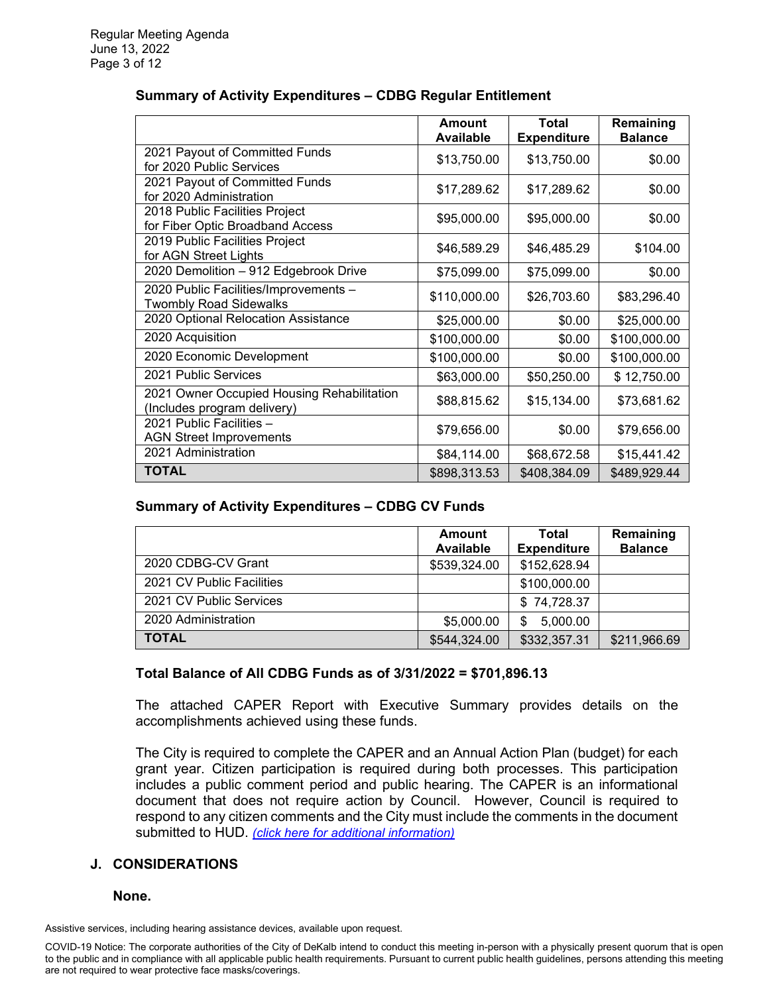|                                                                           | Amount<br><b>Available</b> | Total<br><b>Expenditure</b> | Remaining<br><b>Balance</b> |
|---------------------------------------------------------------------------|----------------------------|-----------------------------|-----------------------------|
| 2021 Payout of Committed Funds<br>for 2020 Public Services                | \$13,750.00                | \$13,750.00                 | \$0.00                      |
| 2021 Payout of Committed Funds<br>for 2020 Administration                 | \$17,289.62                | \$17,289.62                 | \$0.00                      |
| 2018 Public Facilities Project<br>for Fiber Optic Broadband Access        | \$95,000.00                | \$95,000.00                 | \$0.00                      |
| 2019 Public Facilities Project<br>for AGN Street Lights                   | \$46,589.29                | \$46,485.29                 | \$104.00                    |
| 2020 Demolition - 912 Edgebrook Drive                                     | \$75,099.00                | \$75,099.00                 | \$0.00                      |
| 2020 Public Facilities/Improvements -<br><b>Twombly Road Sidewalks</b>    | \$110,000.00               | \$26,703.60                 | \$83,296.40                 |
| 2020 Optional Relocation Assistance                                       | \$25,000.00                | \$0.00                      | \$25,000.00                 |
| 2020 Acquisition                                                          | \$100,000.00               | \$0.00                      | \$100,000.00                |
| 2020 Economic Development                                                 | \$100,000.00               | \$0.00                      | \$100,000.00                |
| 2021 Public Services                                                      | \$63,000.00                | \$50,250.00                 | \$12,750.00                 |
| 2021 Owner Occupied Housing Rehabilitation<br>(Includes program delivery) | \$88,815.62                | \$15,134.00                 | \$73,681.62                 |
| 2021 Public Facilities -<br><b>AGN Street Improvements</b>                | \$79,656.00                | \$0.00                      | \$79,656.00                 |
| 2021 Administration                                                       | \$84,114.00                | \$68,672.58                 | \$15,441.42                 |
| <b>TOTAL</b>                                                              | \$898,313.53               | \$408,384.09                | \$489,929.44                |

# **Summary of Activity Expenditures – CDBG Regular Entitlement**

#### **Summary of Activity Expenditures – CDBG CV Funds**

|                           | <b>Amount</b><br><b>Available</b> | Total<br><b>Expenditure</b> | Remaining<br><b>Balance</b> |
|---------------------------|-----------------------------------|-----------------------------|-----------------------------|
| 2020 CDBG-CV Grant        | \$539,324.00                      | \$152,628.94                |                             |
| 2021 CV Public Facilities |                                   | \$100,000.00                |                             |
| 2021 CV Public Services   |                                   | \$74,728.37                 |                             |
| 2020 Administration       | \$5,000.00                        | 5,000.00<br>\$              |                             |
| <b>TOTAL</b>              | \$544,324.00                      | \$332,357.31                | \$211,966.69                |

## **Total Balance of All CDBG Funds as of 3/31/2022 = \$701,896.13**

The attached CAPER Report with Executive Summary provides details on the accomplishments achieved using these funds.

The City is required to complete the CAPER and an Annual Action Plan (budget) for each grant year. Citizen participation is required during both processes. This participation includes a public comment period and public hearing. The CAPER is an informational document that does not require action by Council. However, Council is required to respond to any citizen comments and the City must include the comments in the document submitted to HUD. *[\(click here for additional information\)](https://www.cityofdekalb.com/DocumentCenter/View/13948/8-PH---CAPER-YR21)*

## **J. CONSIDERATIONS**

#### **None.**

Assistive services, including hearing assistance devices, available upon request.

COVID-19 Notice: The corporate authorities of the City of DeKalb intend to conduct this meeting in-person with a physically present quorum that is open to the public and in compliance with all applicable public health requirements. Pursuant to current public health guidelines, persons attending this meeting are not required to wear protective face masks/coverings.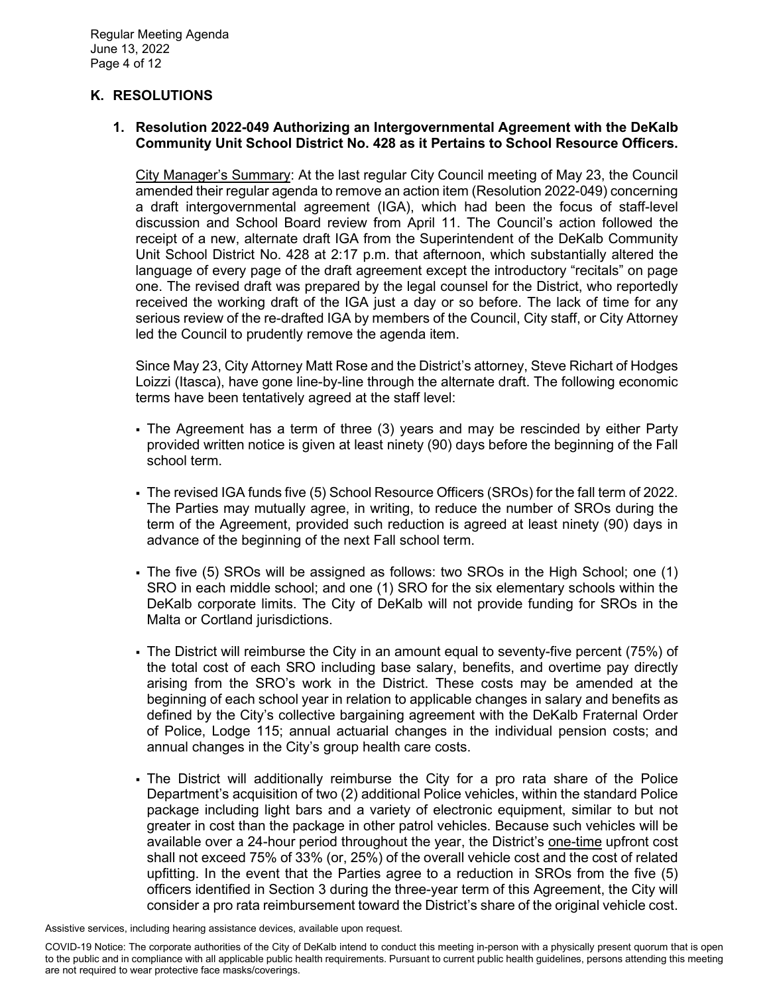# **K. RESOLUTIONS**

### **1. Resolution 2022-049 Authorizing an Intergovernmental Agreement with the DeKalb Community Unit School District No. 428 as it Pertains to School Resource Officers.**

City Manager's Summary: At the last regular City Council meeting of May 23, the Council amended their regular agenda to remove an action item (Resolution 2022-049) concerning a draft intergovernmental agreement (IGA), which had been the focus of staff-level discussion and School Board review from April 11. The Council's action followed the receipt of a new, alternate draft IGA from the Superintendent of the DeKalb Community Unit School District No. 428 at 2:17 p.m. that afternoon, which substantially altered the language of every page of the draft agreement except the introductory "recitals" on page one. The revised draft was prepared by the legal counsel for the District, who reportedly received the working draft of the IGA just a day or so before. The lack of time for any serious review of the re-drafted IGA by members of the Council, City staff, or City Attorney led the Council to prudently remove the agenda item.

Since May 23, City Attorney Matt Rose and the District's attorney, Steve Richart of Hodges Loizzi (Itasca), have gone line-by-line through the alternate draft. The following economic terms have been tentatively agreed at the staff level:

- The Agreement has a term of three (3) years and may be rescinded by either Party provided written notice is given at least ninety (90) days before the beginning of the Fall school term.
- The revised IGA funds five (5) School Resource Officers (SROs) for the fall term of 2022. The Parties may mutually agree, in writing, to reduce the number of SROs during the term of the Agreement, provided such reduction is agreed at least ninety (90) days in advance of the beginning of the next Fall school term.
- The five (5) SROs will be assigned as follows: two SROs in the High School; one (1) SRO in each middle school; and one (1) SRO for the six elementary schools within the DeKalb corporate limits. The City of DeKalb will not provide funding for SROs in the Malta or Cortland jurisdictions.
- The District will reimburse the City in an amount equal to seventy-five percent (75%) of the total cost of each SRO including base salary, benefits, and overtime pay directly arising from the SRO's work in the District. These costs may be amended at the beginning of each school year in relation to applicable changes in salary and benefits as defined by the City's collective bargaining agreement with the DeKalb Fraternal Order of Police, Lodge 115; annual actuarial changes in the individual pension costs; and annual changes in the City's group health care costs.
- The District will additionally reimburse the City for a pro rata share of the Police Department's acquisition of two (2) additional Police vehicles, within the standard Police package including light bars and a variety of electronic equipment, similar to but not greater in cost than the package in other patrol vehicles. Because such vehicles will be available over a 24-hour period throughout the year, the District's one-time upfront cost shall not exceed 75% of 33% (or, 25%) of the overall vehicle cost and the cost of related upfitting. In the event that the Parties agree to a reduction in SROs from the five (5) officers identified in Section 3 during the three-year term of this Agreement, the City will consider a pro rata reimbursement toward the District's share of the original vehicle cost.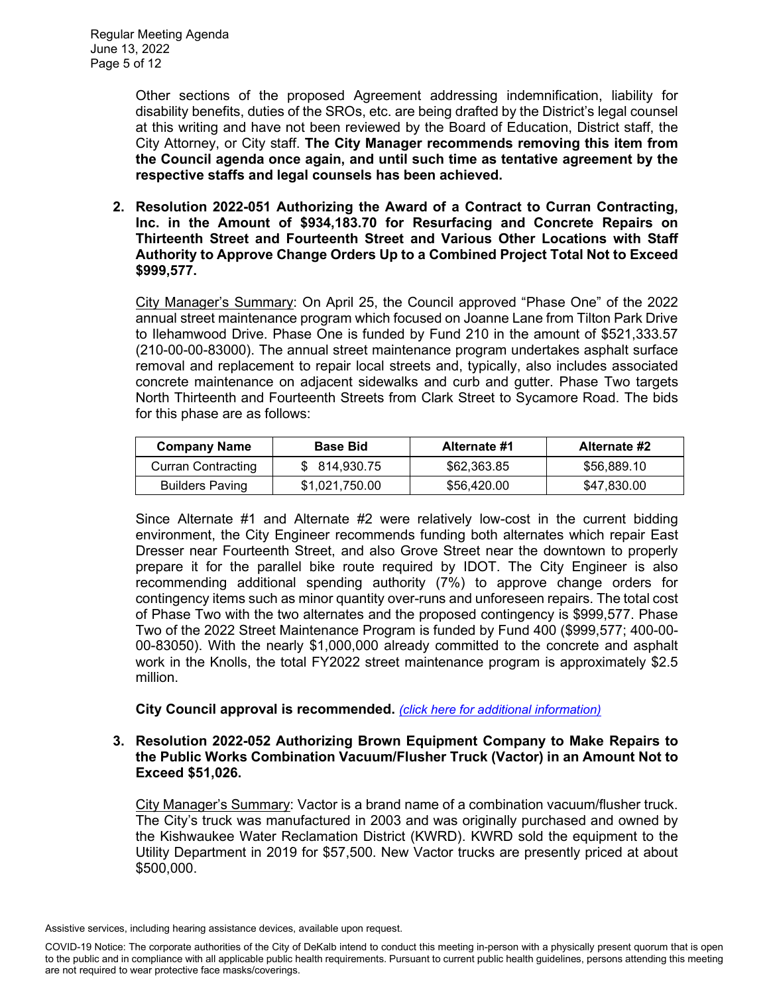Other sections of the proposed Agreement addressing indemnification, liability for disability benefits, duties of the SROs, etc. are being drafted by the District's legal counsel at this writing and have not been reviewed by the Board of Education, District staff, the City Attorney, or City staff. **The City Manager recommends removing this item from the Council agenda once again, and until such time as tentative agreement by the respective staffs and legal counsels has been achieved.** 

**2. Resolution 2022-051 Authorizing the Award of a Contract to Curran Contracting, Inc. in the Amount of \$934,183.70 for Resurfacing and Concrete Repairs on Thirteenth Street and Fourteenth Street and Various Other Locations with Staff Authority to Approve Change Orders Up to a Combined Project Total Not to Exceed \$999,577.**

City Manager's Summary: On April 25, the Council approved "Phase One" of the 2022 annual street maintenance program which focused on Joanne Lane from Tilton Park Drive to Ilehamwood Drive. Phase One is funded by Fund 210 in the amount of \$521,333.57 (210-00-00-83000). The annual street maintenance program undertakes asphalt surface removal and replacement to repair local streets and, typically, also includes associated concrete maintenance on adjacent sidewalks and curb and gutter. Phase Two targets North Thirteenth and Fourteenth Streets from Clark Street to Sycamore Road. The bids for this phase are as follows:

| <b>Company Name</b>       | <b>Base Bid</b> | Alternate #1 | Alternate #2 |
|---------------------------|-----------------|--------------|--------------|
| <b>Curran Contracting</b> | \$ 814.930.75   | \$62,363,85  | \$56,889.10  |
| <b>Builders Paving</b>    | \$1,021,750.00  | \$56,420.00  | \$47,830.00  |

Since Alternate #1 and Alternate #2 were relatively low-cost in the current bidding environment, the City Engineer recommends funding both alternates which repair East Dresser near Fourteenth Street, and also Grove Street near the downtown to properly prepare it for the parallel bike route required by IDOT. The City Engineer is also recommending additional spending authority (7%) to approve change orders for contingency items such as minor quantity over-runs and unforeseen repairs. The total cost of Phase Two with the two alternates and the proposed contingency is \$999,577. Phase Two of the 2022 Street Maintenance Program is funded by Fund 400 (\$999,577; 400-00- 00-83050). With the nearly \$1,000,000 already committed to the concrete and asphalt work in the Knolls, the total FY2022 street maintenance program is approximately \$2.5 million.

## **City Council approval is recommended.** *[\(click here for additional information\)](https://www.cityofdekalb.com/DocumentCenter/View/13949/9-Res-2022-051)*

#### **3. Resolution 2022-052 Authorizing Brown Equipment Company to Make Repairs to the Public Works Combination Vacuum/Flusher Truck (Vactor) in an Amount Not to Exceed \$51,026.**

City Manager's Summary: Vactor is a brand name of a combination vacuum/flusher truck. The City's truck was manufactured in 2003 and was originally purchased and owned by the Kishwaukee Water Reclamation District (KWRD). KWRD sold the equipment to the Utility Department in 2019 for \$57,500. New Vactor trucks are presently priced at about \$500,000.

COVID-19 Notice: The corporate authorities of the City of DeKalb intend to conduct this meeting in-person with a physically present quorum that is open to the public and in compliance with all applicable public health requirements. Pursuant to current public health guidelines, persons attending this meeting are not required to wear protective face masks/coverings.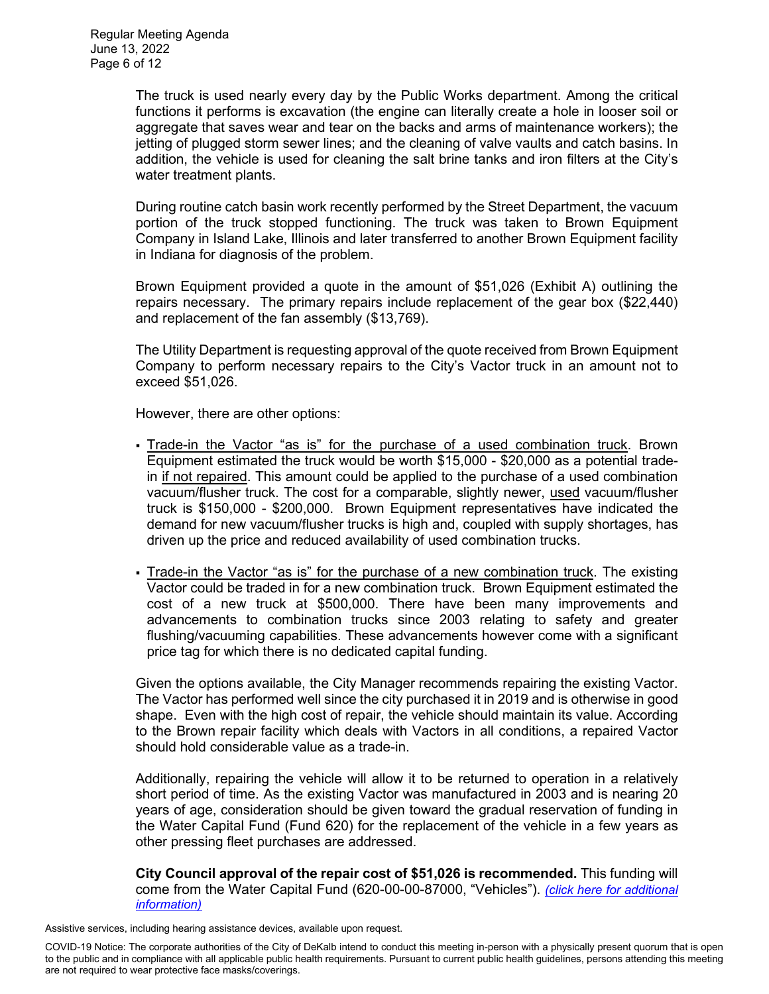The truck is used nearly every day by the Public Works department. Among the critical functions it performs is excavation (the engine can literally create a hole in looser soil or aggregate that saves wear and tear on the backs and arms of maintenance workers); the jetting of plugged storm sewer lines; and the cleaning of valve vaults and catch basins. In addition, the vehicle is used for cleaning the salt brine tanks and iron filters at the City's water treatment plants.

During routine catch basin work recently performed by the Street Department, the vacuum portion of the truck stopped functioning. The truck was taken to Brown Equipment Company in Island Lake, Illinois and later transferred to another Brown Equipment facility in Indiana for diagnosis of the problem.

Brown Equipment provided a quote in the amount of \$51,026 (Exhibit A) outlining the repairs necessary. The primary repairs include replacement of the gear box (\$22,440) and replacement of the fan assembly (\$13,769).

The Utility Department is requesting approval of the quote received from Brown Equipment Company to perform necessary repairs to the City's Vactor truck in an amount not to exceed \$51,026.

However, there are other options:

- Trade-in the Vactor "as is" for the purchase of a used combination truck. Brown Equipment estimated the truck would be worth \$15,000 - \$20,000 as a potential tradein if not repaired. This amount could be applied to the purchase of a used combination vacuum/flusher truck. The cost for a comparable, slightly newer, used vacuum/flusher truck is \$150,000 - \$200,000. Brown Equipment representatives have indicated the demand for new vacuum/flusher trucks is high and, coupled with supply shortages, has driven up the price and reduced availability of used combination trucks.
- Trade-in the Vactor "as is" for the purchase of a new combination truck. The existing Vactor could be traded in for a new combination truck. Brown Equipment estimated the cost of a new truck at \$500,000. There have been many improvements and advancements to combination trucks since 2003 relating to safety and greater flushing/vacuuming capabilities. These advancements however come with a significant price tag for which there is no dedicated capital funding.

Given the options available, the City Manager recommends repairing the existing Vactor. The Vactor has performed well since the city purchased it in 2019 and is otherwise in good shape. Even with the high cost of repair, the vehicle should maintain its value. According to the Brown repair facility which deals with Vactors in all conditions, a repaired Vactor should hold considerable value as a trade-in.

Additionally, repairing the vehicle will allow it to be returned to operation in a relatively short period of time. As the existing Vactor was manufactured in 2003 and is nearing 20 years of age, consideration should be given toward the gradual reservation of funding in the Water Capital Fund (Fund 620) for the replacement of the vehicle in a few years as other pressing fleet purchases are addressed.

**City Council approval of the repair cost of \$51,026 is recommended.** This funding will come from the Water Capital Fund (620-00-00-87000, "Vehicles"). *[\(click here for additional](https://www.cityofdekalb.com/DocumentCenter/View/13950/10-Res-2022-052)  [information\)](https://www.cityofdekalb.com/DocumentCenter/View/13950/10-Res-2022-052)*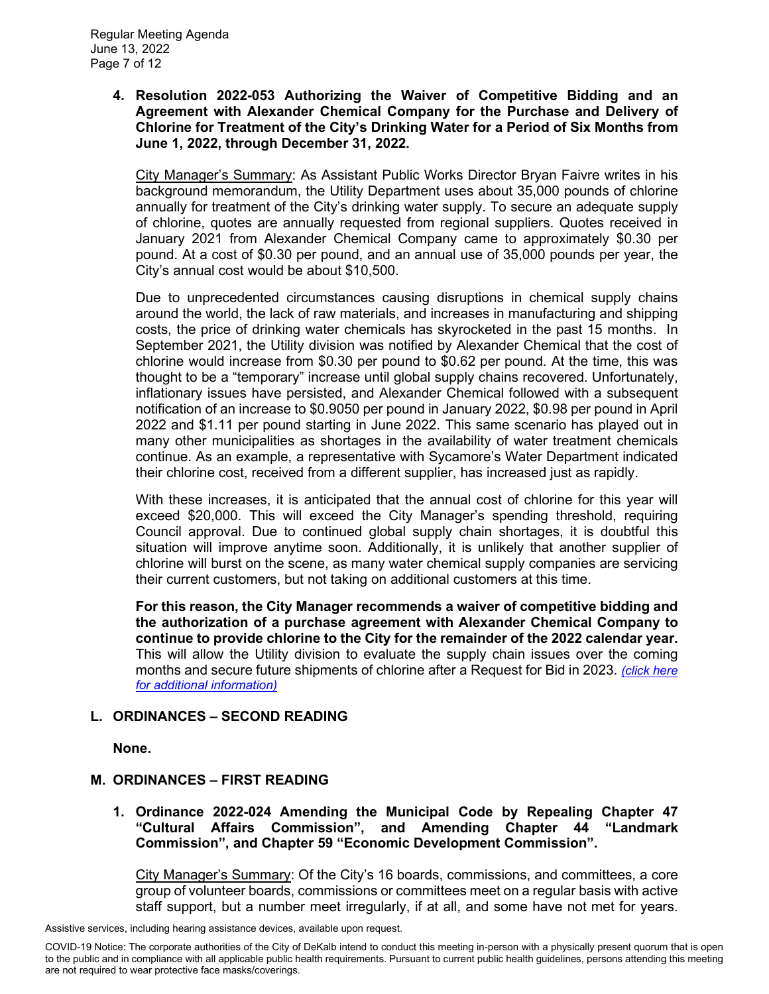**4. Resolution 2022-053 Authorizing the Waiver of Competitive Bidding and an Agreement with Alexander Chemical Company for the Purchase and Delivery of Chlorine for Treatment of the City's Drinking Water for a Period of Six Months from June 1, 2022, through December 31, 2022.**

City Manager's Summary: As Assistant Public Works Director Bryan Faivre writes in his background memorandum, the Utility Department uses about 35,000 pounds of chlorine annually for treatment of the City's drinking water supply. To secure an adequate supply of chlorine, quotes are annually requested from regional suppliers. Quotes received in January 2021 from Alexander Chemical Company came to approximately \$0.30 per pound. At a cost of \$0.30 per pound, and an annual use of 35,000 pounds per year, the City's annual cost would be about \$10,500.

Due to unprecedented circumstances causing disruptions in chemical supply chains around the world, the lack of raw materials, and increases in manufacturing and shipping costs, the price of drinking water chemicals has skyrocketed in the past 15 months. In September 2021, the Utility division was notified by Alexander Chemical that the cost of chlorine would increase from \$0.30 per pound to \$0.62 per pound. At the time, this was thought to be a "temporary" increase until global supply chains recovered. Unfortunately, inflationary issues have persisted, and Alexander Chemical followed with a subsequent notification of an increase to \$0.9050 per pound in January 2022, \$0.98 per pound in April 2022 and \$1.11 per pound starting in June 2022. This same scenario has played out in many other municipalities as shortages in the availability of water treatment chemicals continue. As an example, a representative with Sycamore's Water Department indicated their chlorine cost, received from a different supplier, has increased just as rapidly.

With these increases, it is anticipated that the annual cost of chlorine for this year will exceed \$20,000. This will exceed the City Manager's spending threshold, requiring Council approval. Due to continued global supply chain shortages, it is doubtful this situation will improve anytime soon. Additionally, it is unlikely that another supplier of chlorine will burst on the scene, as many water chemical supply companies are servicing their current customers, but not taking on additional customers at this time.

**For this reason, the City Manager recommends a waiver of competitive bidding and the authorization of a purchase agreement with Alexander Chemical Company to continue to provide chlorine to the City for the remainder of the 2022 calendar year.** This will allow the Utility division to evaluate the supply chain issues over the coming months and secure future shipments of chlorine after a Request for Bid in 2023. *[\(click here](https://www.cityofdekalb.com/DocumentCenter/View/13951/11-Res-2022-053)  [for additional information\)](https://www.cityofdekalb.com/DocumentCenter/View/13951/11-Res-2022-053)*

## **L. ORDINANCES – SECOND READING**

**None.** 

## **M. ORDINANCES – FIRST READING**

**1. Ordinance 2022-024 Amending the Municipal Code by Repealing Chapter 47 "Cultural Affairs Commission", and Amending Chapter 44 "Landmark Commission", and Chapter 59 "Economic Development Commission".** 

City Manager's Summary: Of the City's 16 boards, commissions, and committees, a core group of volunteer boards, commissions or committees meet on a regular basis with active staff support, but a number meet irregularly, if at all, and some have not met for years.

COVID-19 Notice: The corporate authorities of the City of DeKalb intend to conduct this meeting in-person with a physically present quorum that is open to the public and in compliance with all applicable public health requirements. Pursuant to current public health guidelines, persons attending this meeting are not required to wear protective face masks/coverings.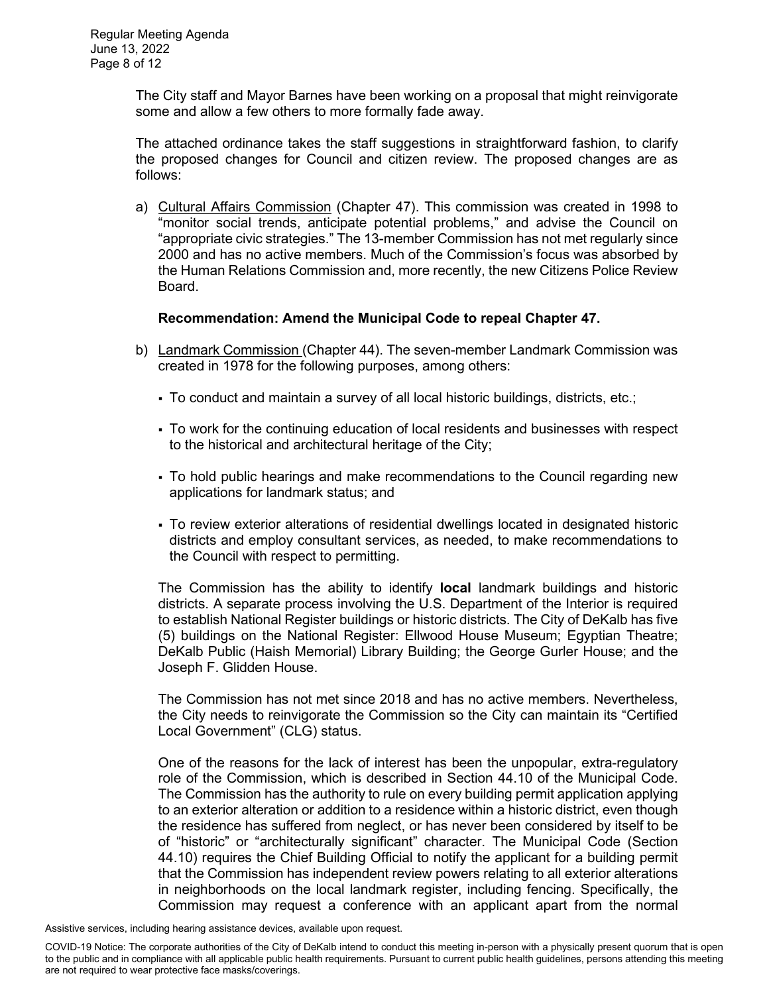The City staff and Mayor Barnes have been working on a proposal that might reinvigorate some and allow a few others to more formally fade away.

The attached ordinance takes the staff suggestions in straightforward fashion, to clarify the proposed changes for Council and citizen review. The proposed changes are as follows:

a) Cultural Affairs Commission (Chapter 47). This commission was created in 1998 to "monitor social trends, anticipate potential problems," and advise the Council on "appropriate civic strategies." The 13-member Commission has not met regularly since 2000 and has no active members. Much of the Commission's focus was absorbed by the Human Relations Commission and, more recently, the new Citizens Police Review Board.

### **Recommendation: Amend the Municipal Code to repeal Chapter 47.**

- b) Landmark Commission (Chapter 44). The seven-member Landmark Commission was created in 1978 for the following purposes, among others:
	- To conduct and maintain a survey of all local historic buildings, districts, etc.;
	- To work for the continuing education of local residents and businesses with respect to the historical and architectural heritage of the City;
	- To hold public hearings and make recommendations to the Council regarding new applications for landmark status; and
	- To review exterior alterations of residential dwellings located in designated historic districts and employ consultant services, as needed, to make recommendations to the Council with respect to permitting.

The Commission has the ability to identify **local** landmark buildings and historic districts. A separate process involving the U.S. Department of the Interior is required to establish National Register buildings or historic districts. The City of DeKalb has five (5) buildings on the National Register: Ellwood House Museum; Egyptian Theatre; DeKalb Public (Haish Memorial) Library Building; the George Gurler House; and the Joseph F. Glidden House.

The Commission has not met since 2018 and has no active members. Nevertheless, the City needs to reinvigorate the Commission so the City can maintain its "Certified Local Government" (CLG) status.

One of the reasons for the lack of interest has been the unpopular, extra-regulatory role of the Commission, which is described in Section 44.10 of the Municipal Code. The Commission has the authority to rule on every building permit application applying to an exterior alteration or addition to a residence within a historic district, even though the residence has suffered from neglect, or has never been considered by itself to be of "historic" or "architecturally significant" character. The Municipal Code (Section 44.10) requires the Chief Building Official to notify the applicant for a building permit that the Commission has independent review powers relating to all exterior alterations in neighborhoods on the local landmark register, including fencing. Specifically, the Commission may request a conference with an applicant apart from the normal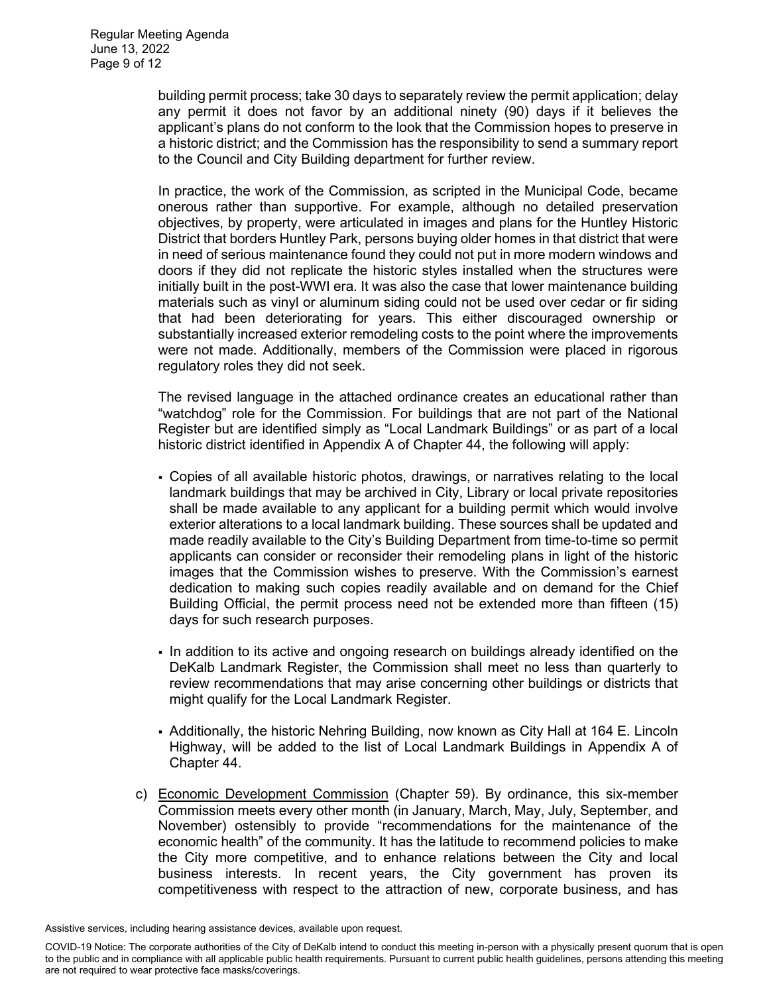building permit process; take 30 days to separately review the permit application; delay any permit it does not favor by an additional ninety (90) days if it believes the applicant's plans do not conform to the look that the Commission hopes to preserve in a historic district; and the Commission has the responsibility to send a summary report to the Council and City Building department for further review.

In practice, the work of the Commission, as scripted in the Municipal Code, became onerous rather than supportive. For example, although no detailed preservation objectives, by property, were articulated in images and plans for the Huntley Historic District that borders Huntley Park, persons buying older homes in that district that were in need of serious maintenance found they could not put in more modern windows and doors if they did not replicate the historic styles installed when the structures were initially built in the post-WWI era. It was also the case that lower maintenance building materials such as vinyl or aluminum siding could not be used over cedar or fir siding that had been deteriorating for years. This either discouraged ownership or substantially increased exterior remodeling costs to the point where the improvements were not made. Additionally, members of the Commission were placed in rigorous regulatory roles they did not seek.

The revised language in the attached ordinance creates an educational rather than "watchdog" role for the Commission. For buildings that are not part of the National Register but are identified simply as "Local Landmark Buildings" or as part of a local historic district identified in Appendix A of Chapter 44, the following will apply:

- Copies of all available historic photos, drawings, or narratives relating to the local landmark buildings that may be archived in City, Library or local private repositories shall be made available to any applicant for a building permit which would involve exterior alterations to a local landmark building. These sources shall be updated and made readily available to the City's Building Department from time-to-time so permit applicants can consider or reconsider their remodeling plans in light of the historic images that the Commission wishes to preserve. With the Commission's earnest dedication to making such copies readily available and on demand for the Chief Building Official, the permit process need not be extended more than fifteen (15) days for such research purposes.
- In addition to its active and ongoing research on buildings already identified on the DeKalb Landmark Register, the Commission shall meet no less than quarterly to review recommendations that may arise concerning other buildings or districts that might qualify for the Local Landmark Register.
- Additionally, the historic Nehring Building, now known as City Hall at 164 E. Lincoln Highway, will be added to the list of Local Landmark Buildings in Appendix A of Chapter 44.
- c) Economic Development Commission (Chapter 59). By ordinance, this six-member Commission meets every other month (in January, March, May, July, September, and November) ostensibly to provide "recommendations for the maintenance of the economic health" of the community. It has the latitude to recommend policies to make the City more competitive, and to enhance relations between the City and local business interests. In recent years, the City government has proven its competitiveness with respect to the attraction of new, corporate business, and has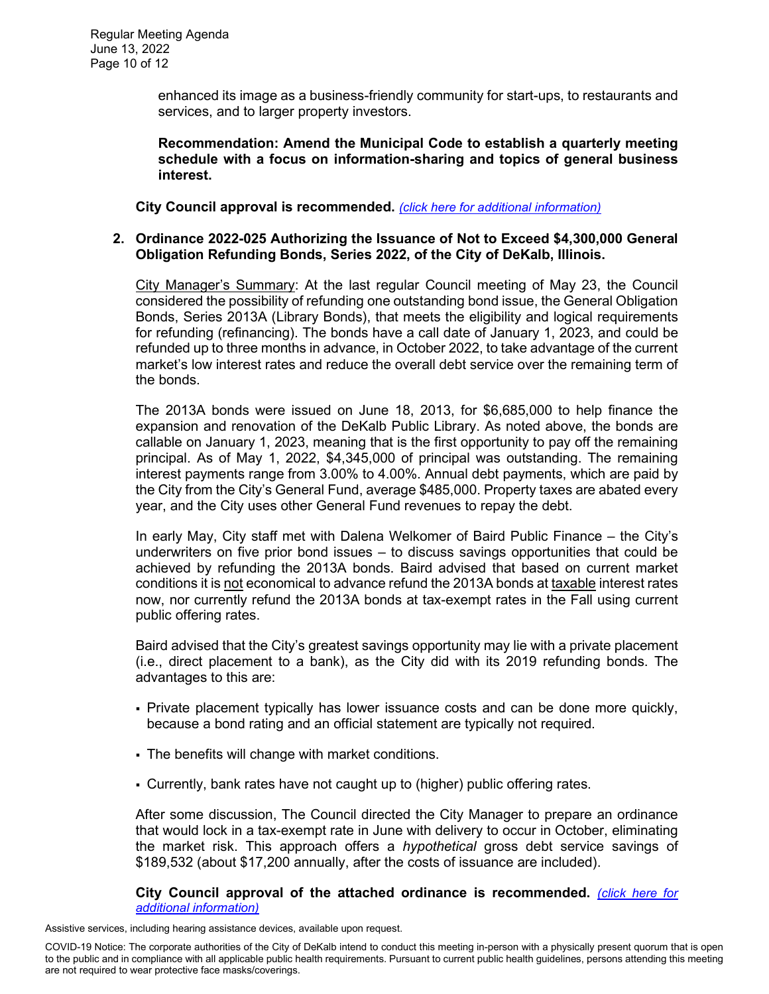enhanced its image as a business-friendly community for start-ups, to restaurants and services, and to larger property investors.

**Recommendation: Amend the Municipal Code to establish a quarterly meeting schedule with a focus on information-sharing and topics of general business interest.** 

**City Council approval is recommended.** *[\(click here for additional information\)](https://www.cityofdekalb.com/DocumentCenter/View/13952/12-Ord-2022-024)*

### **2. Ordinance 2022-025 Authorizing the Issuance of Not to Exceed \$4,300,000 General Obligation Refunding Bonds, Series 2022, of the City of DeKalb, Illinois.**

City Manager's Summary: At the last regular Council meeting of May 23, the Council considered the possibility of refunding one outstanding bond issue, the General Obligation Bonds, Series 2013A (Library Bonds), that meets the eligibility and logical requirements for refunding (refinancing). The bonds have a call date of January 1, 2023, and could be refunded up to three months in advance, in October 2022, to take advantage of the current market's low interest rates and reduce the overall debt service over the remaining term of the bonds.

The 2013A bonds were issued on June 18, 2013, for \$6,685,000 to help finance the expansion and renovation of the DeKalb Public Library. As noted above, the bonds are callable on January 1, 2023, meaning that is the first opportunity to pay off the remaining principal. As of May 1, 2022, \$4,345,000 of principal was outstanding. The remaining interest payments range from 3.00% to 4.00%. Annual debt payments, which are paid by the City from the City's General Fund, average \$485,000. Property taxes are abated every year, and the City uses other General Fund revenues to repay the debt.

In early May, City staff met with Dalena Welkomer of Baird Public Finance – the City's underwriters on five prior bond issues – to discuss savings opportunities that could be achieved by refunding the 2013A bonds. Baird advised that based on current market conditions it is not economical to advance refund the 2013A bonds at taxable interest rates now, nor currently refund the 2013A bonds at tax-exempt rates in the Fall using current public offering rates.

Baird advised that the City's greatest savings opportunity may lie with a private placement (i.e., direct placement to a bank), as the City did with its 2019 refunding bonds. The advantages to this are:

- Private placement typically has lower issuance costs and can be done more quickly, because a bond rating and an official statement are typically not required.
- The benefits will change with market conditions.
- Currently, bank rates have not caught up to (higher) public offering rates.

After some discussion, The Council directed the City Manager to prepare an ordinance that would lock in a tax-exempt rate in June with delivery to occur in October, eliminating the market risk. This approach offers a *hypothetical* gross debt service savings of \$189,532 (about \$17,200 annually, after the costs of issuance are included).

**City Council approval of the attached ordinance is recommended.** *[\(click here for](https://www.cityofdekalb.com/DocumentCenter/View/13953/13-Ord-2022-025)  [additional information\)](https://www.cityofdekalb.com/DocumentCenter/View/13953/13-Ord-2022-025)*

COVID-19 Notice: The corporate authorities of the City of DeKalb intend to conduct this meeting in-person with a physically present quorum that is open to the public and in compliance with all applicable public health requirements. Pursuant to current public health guidelines, persons attending this meeting are not required to wear protective face masks/coverings.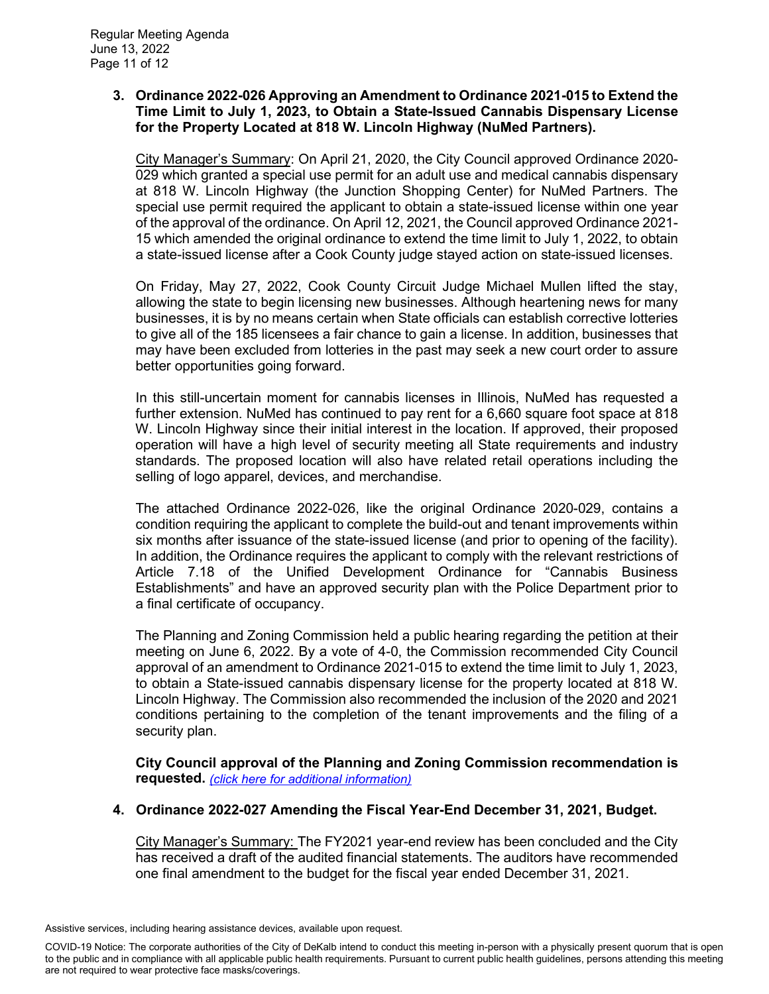### **3. Ordinance 2022-026 Approving an Amendment to Ordinance 2021-015 to Extend the Time Limit to July 1, 2023, to Obtain a State-Issued Cannabis Dispensary License for the Property Located at 818 W. Lincoln Highway (NuMed Partners).**

City Manager's Summary: On April 21, 2020, the City Council approved Ordinance 2020- 029 which granted a special use permit for an adult use and medical cannabis dispensary at 818 W. Lincoln Highway (the Junction Shopping Center) for NuMed Partners. The special use permit required the applicant to obtain a state-issued license within one year of the approval of the ordinance. On April 12, 2021, the Council approved Ordinance 2021- 15 which amended the original ordinance to extend the time limit to July 1, 2022, to obtain a state-issued license after a Cook County judge stayed action on state-issued licenses.

On Friday, May 27, 2022, Cook County Circuit Judge Michael Mullen lifted the stay, allowing the state to begin licensing new businesses. Although heartening news for many businesses, it is by no means certain when State officials can establish corrective lotteries to give all of the 185 licensees a fair chance to gain a license. In addition, businesses that may have been excluded from lotteries in the past may seek a new court order to assure better opportunities going forward.

In this still-uncertain moment for cannabis licenses in Illinois, NuMed has requested a further extension. NuMed has continued to pay rent for a 6,660 square foot space at 818 W. Lincoln Highway since their initial interest in the location. If approved, their proposed operation will have a high level of security meeting all State requirements and industry standards. The proposed location will also have related retail operations including the selling of logo apparel, devices, and merchandise.

The attached Ordinance 2022-026, like the original Ordinance 2020-029, contains a condition requiring the applicant to complete the build-out and tenant improvements within six months after issuance of the state-issued license (and prior to opening of the facility). In addition, the Ordinance requires the applicant to comply with the relevant restrictions of Article 7.18 of the Unified Development Ordinance for "Cannabis Business Establishments" and have an approved security plan with the Police Department prior to a final certificate of occupancy.

The Planning and Zoning Commission held a public hearing regarding the petition at their meeting on June 6, 2022. By a vote of 4-0, the Commission recommended City Council approval of an amendment to Ordinance 2021-015 to extend the time limit to July 1, 2023, to obtain a State-issued cannabis dispensary license for the property located at 818 W. Lincoln Highway. The Commission also recommended the inclusion of the 2020 and 2021 conditions pertaining to the completion of the tenant improvements and the filing of a security plan.

**City Council approval of the Planning and Zoning Commission recommendation is requested.** *[\(click here for additional information\)](https://www.cityofdekalb.com/DocumentCenter/View/13954/14-Ord-2022-026)*

## **4. Ordinance 2022-027 Amending the Fiscal Year-End December 31, 2021, Budget.**

City Manager's Summary: The FY2021 year-end review has been concluded and the City has received a draft of the audited financial statements. The auditors have recommended one final amendment to the budget for the fiscal year ended December 31, 2021.